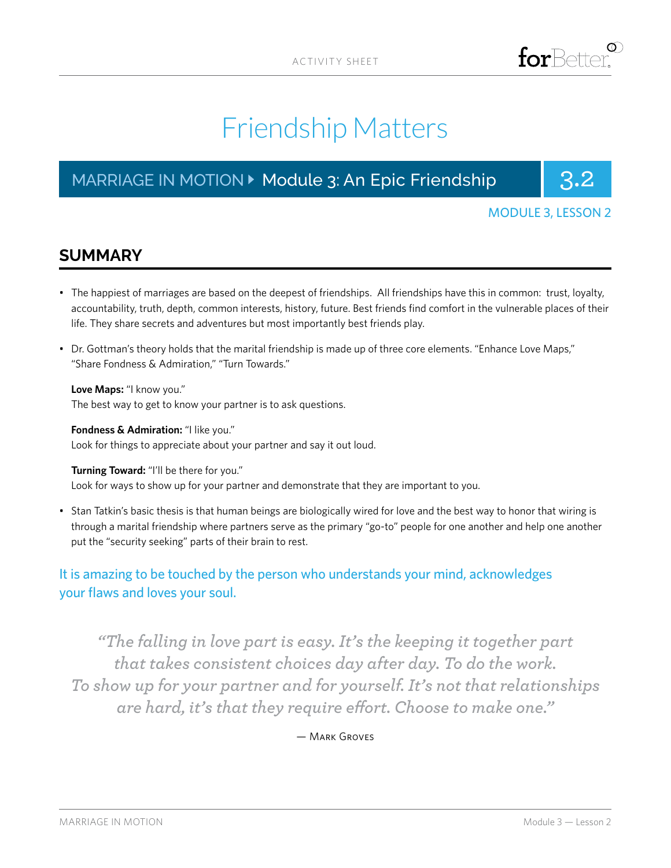# Friendship Matters

# MARRIAGE IN MOTION **• Module 3: An Epic Friendship 3.2**



#### MODULE 3, LESSON 2

### **SUMMARY**

- The happiest of marriages are based on the deepest of friendships. All friendships have this in common: trust, loyalty, accountability, truth, depth, common interests, history, future. Best friends find comfort in the vulnerable places of their life. They share secrets and adventures but most importantly best friends play.
- Dr. Gottman's theory holds that the marital friendship is made up of three core elements. "Enhance Love Maps," "Share Fondness & Admiration," "Turn Towards."

**Love Maps:** "I know you." The best way to get to know your partner is to ask questions.

**Fondness & Admiration:** "I like you." Look for things to appreciate about your partner and say it out loud.

**Turning Toward:** "I'll be there for you." Look for ways to show up for your partner and demonstrate that they are important to you.

• Stan Tatkin's basic thesis is that human beings are biologically wired for love and the best way to honor that wiring is through a marital friendship where partners serve as the primary "go-to" people for one another and help one another put the "security seeking" parts of their brain to rest.

It is amazing to be touched by the person who understands your mind, acknowledges your flaws and loves your soul.

*"The falling in love part is easy. It's the keeping it together part that takes consistent choices day after day. To do the work. To show up for your partner and for yourself. It's not that relationships are hard, it's that they require effort. Choose to make one."*

#### — Mark Groves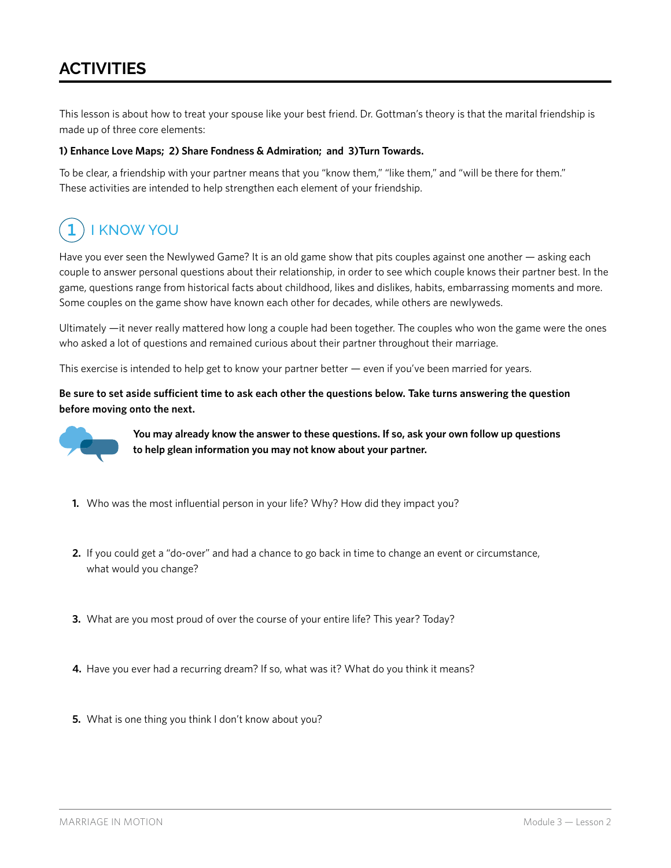# **ACTIVITIES**

This lesson is about how to treat your spouse like your best friend. Dr. Gottman's theory is that the marital friendship is made up of three core elements:

#### **1) Enhance Love Maps; 2) Share Fondness & Admiration; and 3)Turn Towards.**

To be clear, a friendship with your partner means that you "know them," "like them," and "will be there for them." These activities are intended to help strengthen each element of your friendship.

#### I KNOW YOU **1**

Have you ever seen the Newlywed Game? It is an old game show that pits couples against one another — asking each couple to answer personal questions about their relationship, in order to see which couple knows their partner best. In the game, questions range from historical facts about childhood, likes and dislikes, habits, embarrassing moments and more. Some couples on the game show have known each other for decades, while others are newlyweds.

Ultimately —it never really mattered how long a couple had been together. The couples who won the game were the ones who asked a lot of questions and remained curious about their partner throughout their marriage.

This exercise is intended to help get to know your partner better — even if you've been married for years.

**Be sure to set aside sufficient time to ask each other the questions below. Take turns answering the question before moving onto the next.**



**You may already know the answer to these questions. If so, ask your own follow up questions to help glean information you may not know about your partner.**

- **1.** Who was the most influential person in your life? Why? How did they impact you?
- **2.** If you could get a "do-over" and had a chance to go back in time to change an event or circumstance, what would you change?
- **3.** What are you most proud of over the course of your entire life? This year? Today?
- **4.** Have you ever had a recurring dream? If so, what was it? What do you think it means?
- **5.** What is one thing you think I don't know about you?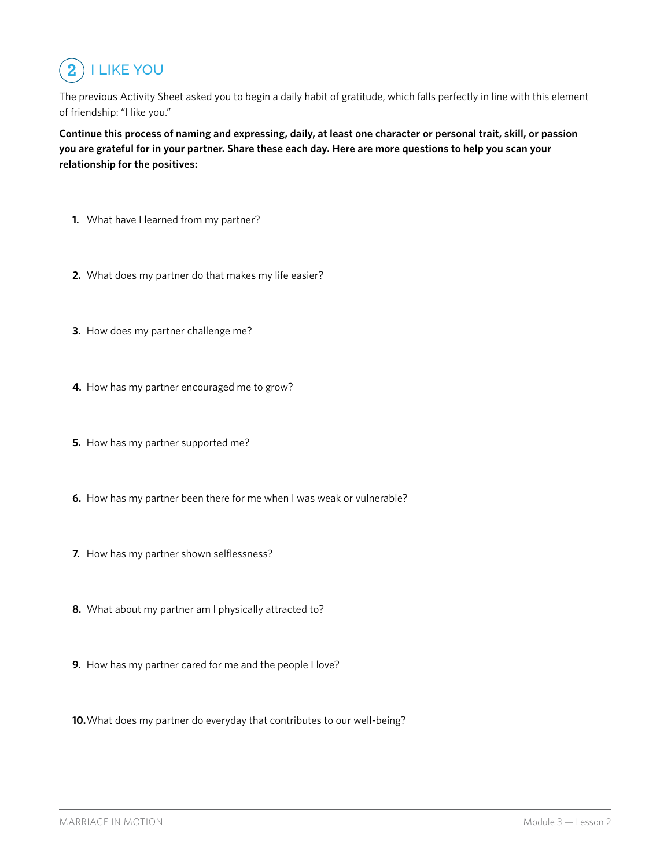

The previous Activity Sheet asked you to begin a daily habit of gratitude, which falls perfectly in line with this element of friendship: "I like you."

**Continue this process of naming and expressing, daily, at least one character or personal trait, skill, or passion you are grateful for in your partner. Share these each day. Here are more questions to help you scan your relationship for the positives:**

- **1.** What have I learned from my partner?
- **2.** What does my partner do that makes my life easier?
- **3.** How does my partner challenge me?
- **4.** How has my partner encouraged me to grow?
- **5.** How has my partner supported me?
- **6.** How has my partner been there for me when I was weak or vulnerable?
- **7.** How has my partner shown selflessness?
- **8.** What about my partner am I physically attracted to?
- **9.** How has my partner cared for me and the people I love?
- **10.**What does my partner do everyday that contributes to our well-being?